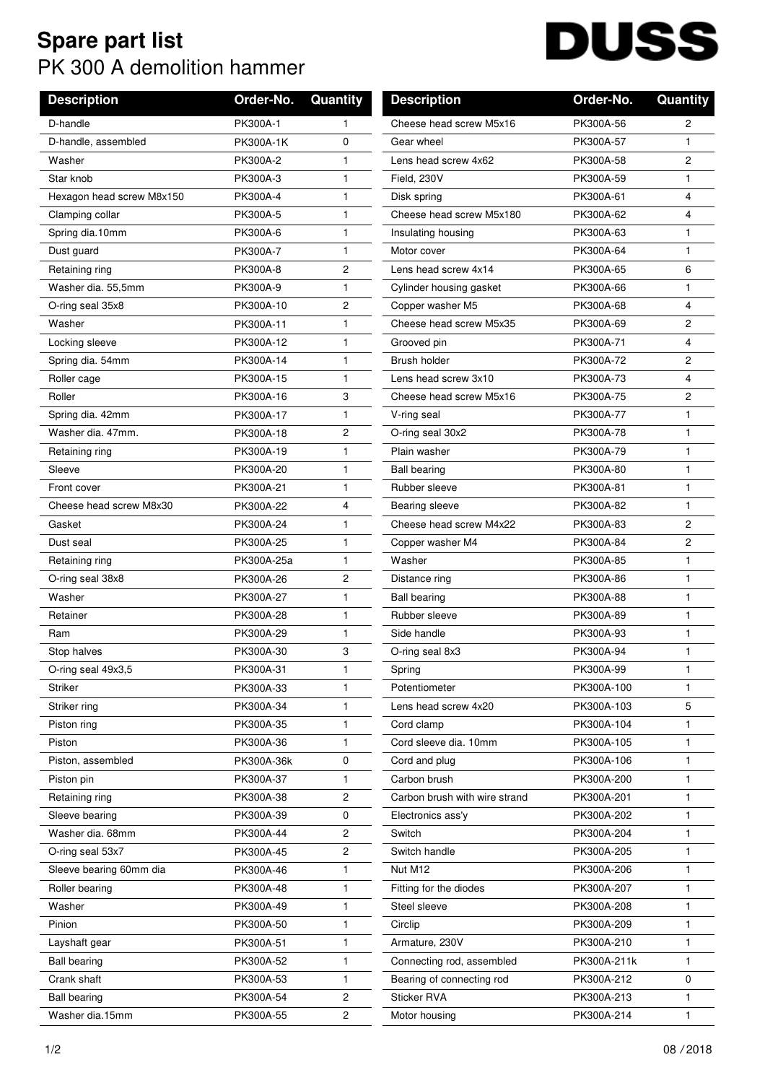## **Spare part list** PK 300 A demolition hammer

## **DUSS**  $\overline{\phantom{a}}$

| <b>Description</b>        | Order-No.  | Quantity       | <b>Description</b>            | Order-No.   | Quantity       |
|---------------------------|------------|----------------|-------------------------------|-------------|----------------|
| D-handle                  | PK300A-1   | 1              | Cheese head screw M5x16       | PK300A-56   | 2              |
| D-handle, assembled       | PK300A-1K  | 0              | Gear wheel                    | PK300A-57   | 1              |
| Washer                    | PK300A-2   | 1              | Lens head screw 4x62          | PK300A-58   | $\overline{c}$ |
| Star knob                 | PK300A-3   | 1              | Field, 230V                   | PK300A-59   | $\mathbf{1}$   |
| Hexagon head screw M8x150 | PK300A-4   | 1              | Disk spring                   | PK300A-61   | 4              |
| Clamping collar           | PK300A-5   | 1              | Cheese head screw M5x180      | PK300A-62   | 4              |
| Spring dia.10mm           | PK300A-6   | 1              | Insulating housing            | PK300A-63   | $\mathbf{1}$   |
| Dust guard                | PK300A-7   | $\mathbf{1}$   | Motor cover                   | PK300A-64   | $\mathbf{1}$   |
| Retaining ring            | PK300A-8   | 2              | Lens head screw 4x14          | PK300A-65   | 6              |
| Washer dia. 55,5mm        | PK300A-9   | 1              | Cylinder housing gasket       | PK300A-66   | $\mathbf{1}$   |
| O-ring seal 35x8          | PK300A-10  | $\overline{c}$ | Copper washer M5              | PK300A-68   | 4              |
| Washer                    | PK300A-11  | 1              | Cheese head screw M5x35       | PK300A-69   | 2              |
| Locking sleeve            | PK300A-12  | 1              | Grooved pin                   | PK300A-71   | $\overline{4}$ |
| Spring dia. 54mm          | PK300A-14  | 1              | Brush holder                  | PK300A-72   | 2              |
| Roller cage               | PK300A-15  | 1              | Lens head screw 3x10          | PK300A-73   | 4              |
| Roller                    | PK300A-16  | 3              | Cheese head screw M5x16       | PK300A-75   | 2              |
| Spring dia. 42mm          | PK300A-17  | 1              | V-ring seal                   | PK300A-77   | 1              |
| Washer dia, 47mm.         | PK300A-18  | 2              | O-ring seal 30x2              | PK300A-78   | $\mathbf{1}$   |
| Retaining ring            | PK300A-19  | 1              | Plain washer                  | PK300A-79   | $\mathbf{1}$   |
| Sleeve                    | PK300A-20  | 1              | <b>Ball bearing</b>           | PK300A-80   | $\mathbf{1}$   |
| Front cover               | PK300A-21  | 1              | Rubber sleeve                 | PK300A-81   | $\mathbf{1}$   |
| Cheese head screw M8x30   | PK300A-22  | 4              | Bearing sleeve                | PK300A-82   | $\mathbf{1}$   |
| Gasket                    | PK300A-24  | 1              | Cheese head screw M4x22       | PK300A-83   | $\overline{c}$ |
| Dust seal                 | PK300A-25  | 1              | Copper washer M4              | PK300A-84   | 2              |
| Retaining ring            | PK300A-25a | 1              | Washer                        | PK300A-85   | $\mathbf{1}$   |
| O-ring seal 38x8          | PK300A-26  | 2              | Distance ring                 | PK300A-86   | 1              |
| Washer                    | PK300A-27  | 1              | <b>Ball bearing</b>           | PK300A-88   | $\mathbf{1}$   |
| Retainer                  | PK300A-28  | 1              | Rubber sleeve                 | PK300A-89   | $\mathbf{1}$   |
| Ram                       | PK300A-29  | 1              | Side handle                   | PK300A-93   | $\mathbf{1}$   |
| Stop halves               | PK300A-30  | 3              | O-ring seal 8x3               | PK300A-94   | 1              |
| O-ring seal 49x3,5        | PK300A-31  | 1              | Spring                        | PK300A-99   | 1              |
| Striker                   | PK300A-33  | 1              | Potentiometer                 | PK300A-100  | 1              |
| Striker ring              | PK300A-34  | 1              | Lens head screw 4x20          | PK300A-103  | 5              |
| Piston ring               | PK300A-35  | 1              | Cord clamp                    | PK300A-104  | 1              |
| Piston                    | PK300A-36  | 1.             | Cord sleeve dia, 10mm         | PK300A-105  | 1              |
| Piston, assembled         | PK300A-36k | $\mathbf 0$    | Cord and plug                 | PK300A-106  | $\mathbf{1}$   |
| Piston pin                | PK300A-37  | 1              | Carbon brush                  | PK300A-200  | 1              |
| Retaining ring            | PK300A-38  | 2              | Carbon brush with wire strand | PK300A-201  | 1              |
| Sleeve bearing            | PK300A-39  | $\mathbf 0$    | Electronics ass'y             | PK300A-202  | 1.             |
| Washer dia. 68mm          | PK300A-44  | 2              | Switch                        | PK300A-204  | 1              |
| O-ring seal 53x7          | PK300A-45  | $\overline{c}$ | Switch handle                 | PK300A-205  | 1              |
| Sleeve bearing 60mm dia   | PK300A-46  | 1              | Nut M12                       | PK300A-206  | 1              |
| Roller bearing            | PK300A-48  | 1              | Fitting for the diodes        | PK300A-207  | 1              |
| Washer                    | PK300A-49  | 1              | Steel sleeve                  | PK300A-208  | 1              |
| Pinion                    | PK300A-50  | 1              | Circlip                       | PK300A-209  | 1              |
| Layshaft gear             | PK300A-51  | 1              | Armature, 230V                | PK300A-210  | 1              |
| <b>Ball bearing</b>       | PK300A-52  | 1              | Connecting rod, assembled     | PK300A-211k | $\mathbf{1}$   |
| Crank shaft               | PK300A-53  | 1              | Bearing of connecting rod     | PK300A-212  | 0              |
| <b>Ball bearing</b>       | PK300A-54  | $\overline{c}$ | Sticker RVA                   | PK300A-213  | 1.             |
| Washer dia.15mm           | PK300A-55  | $\overline{2}$ | Motor housing                 | PK300A-214  | $\mathbf{1}$   |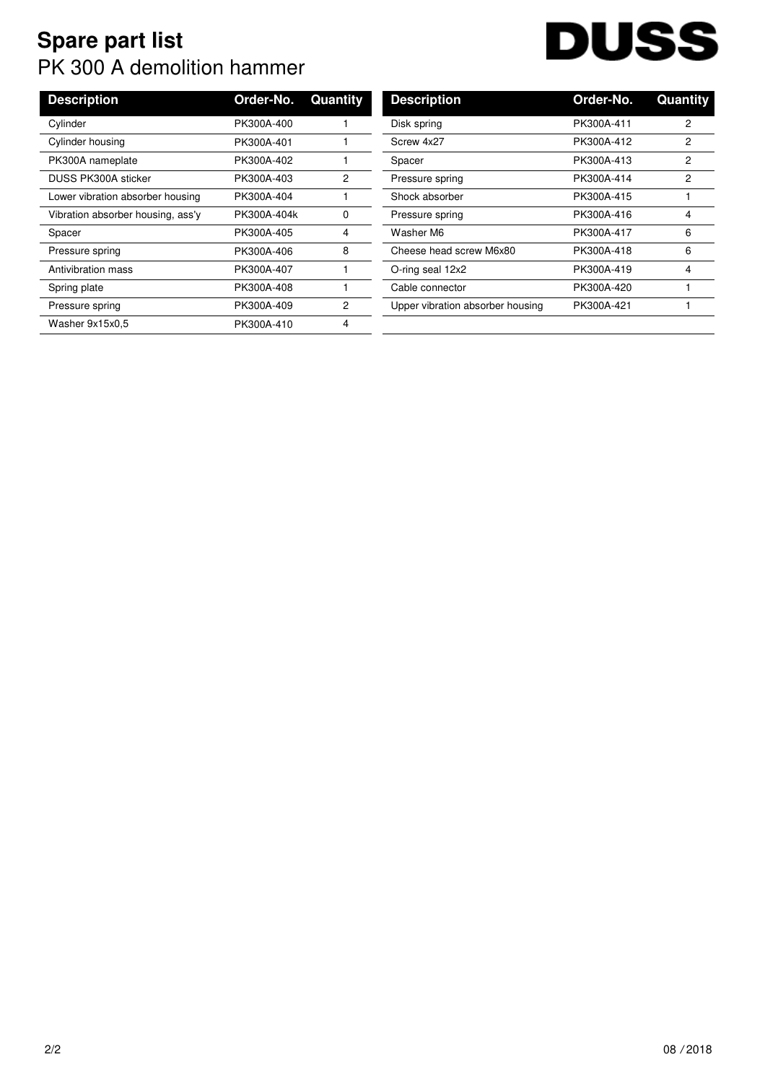## **Spare part list** PK 300 A demolition hammer

## **DUSS**  $\overline{\phantom{a}}$

| <b>Description</b>                | Order-No.   | Quantity | <b>Description</b>               | Order-No.  |
|-----------------------------------|-------------|----------|----------------------------------|------------|
| Cylinder                          | PK300A-400  |          | Disk spring                      | PK300A-411 |
| Cylinder housing                  | PK300A-401  |          | Screw 4x27                       | PK300A-412 |
| PK300A nameplate                  | PK300A-402  |          | Spacer                           | PK300A-413 |
| <b>DUSS PK300A sticker</b>        | PK300A-403  | 2        | Pressure spring                  | PK300A-414 |
| Lower vibration absorber housing  | PK300A-404  |          | Shock absorber                   | PK300A-415 |
| Vibration absorber housing, ass'y | PK300A-404k | 0        | Pressure spring                  | PK300A-416 |
| Spacer                            | PK300A-405  | 4        | Washer M6                        | PK300A-417 |
| Pressure spring                   | PK300A-406  | 8        | Cheese head screw M6x80          | PK300A-418 |
| Antivibration mass                | PK300A-407  |          | O-ring seal 12x2                 | PK300A-419 |
| Spring plate                      | PK300A-408  |          | Cable connector                  | PK300A-420 |
| Pressure spring                   | PK300A-409  | 2        | Upper vibration absorber housing | PK300A-421 |
| Washer 9x15x0.5                   | PK300A-410  | 4        |                                  |            |
|                                   |             |          |                                  |            |

| <b>Description</b>               | Order-No.  | Quantity |
|----------------------------------|------------|----------|
| Disk spring                      | PK300A-411 | 2        |
| Screw 4x27                       | PK300A-412 | 2        |
| Spacer                           | PK300A-413 | 2        |
| Pressure spring                  | PK300A-414 | 2        |
| Shock absorber                   | PK300A-415 | 1        |
| Pressure spring                  | PK300A-416 | 4        |
| Washer M6                        | PK300A-417 | 6        |
| Cheese head screw M6x80          | PK300A-418 | 6        |
| O-ring seal 12x2                 | PK300A-419 | 4        |
| Cable connector                  | PK300A-420 | 1        |
| Upper vibration absorber housing | PK300A-421 |          |
|                                  |            |          |